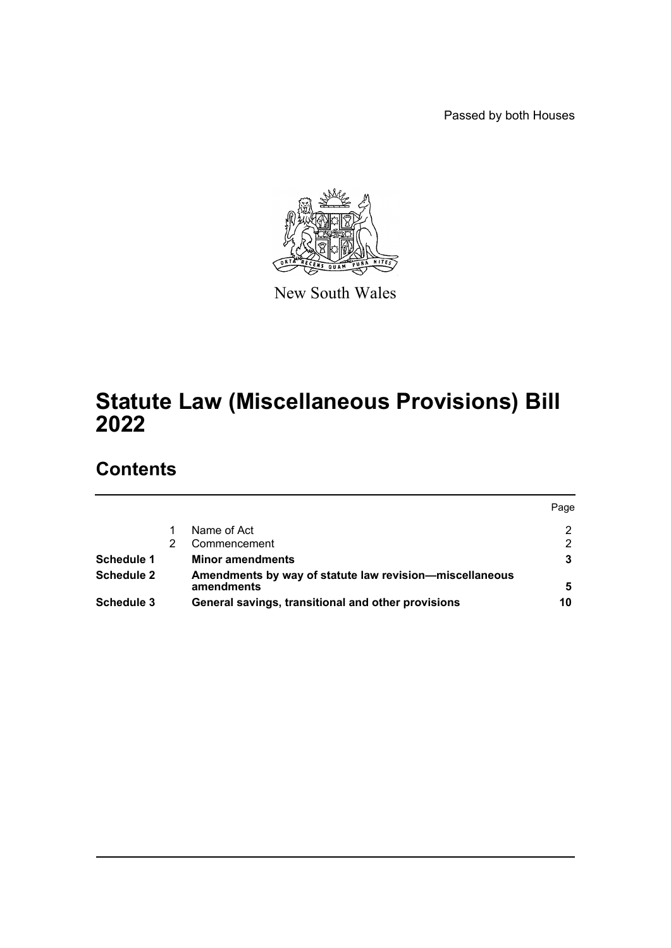Passed by both Houses



New South Wales

# **Statute Law (Miscellaneous Provisions) Bill 2022**

# **Contents**

|                   |                                                                       | Page |
|-------------------|-----------------------------------------------------------------------|------|
|                   | Name of Act                                                           | 2    |
|                   | Commencement                                                          | າ    |
| Schedule 1        | <b>Minor amendments</b>                                               |      |
| Schedule 2        | Amendments by way of statute law revision-miscellaneous<br>amendments | 5    |
| <b>Schedule 3</b> | General savings, transitional and other provisions                    | 10   |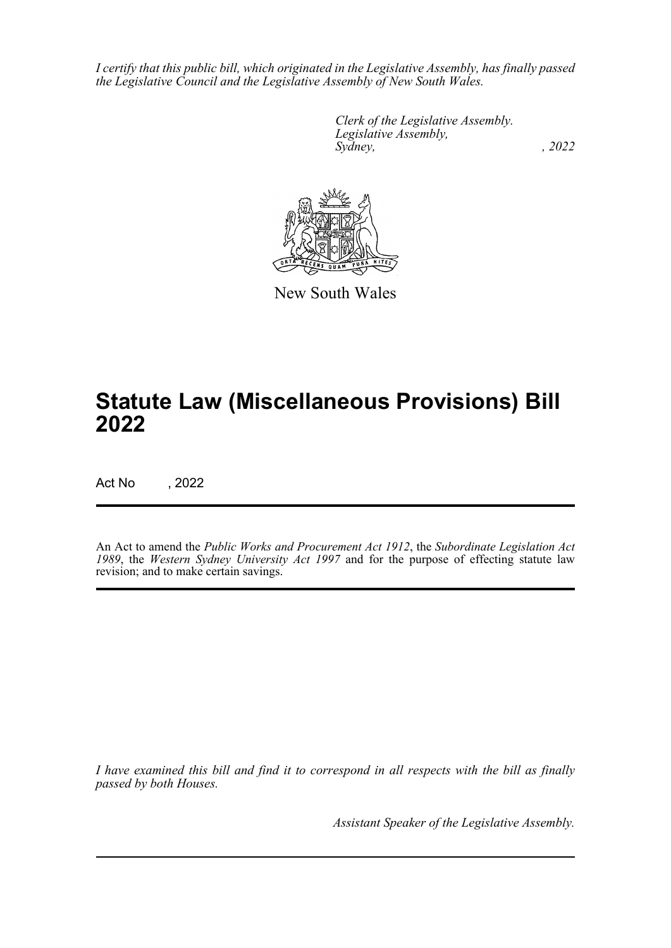*I certify that this public bill, which originated in the Legislative Assembly, has finally passed the Legislative Council and the Legislative Assembly of New South Wales.*

> *Clerk of the Legislative Assembly. Legislative Assembly, Sydney, , 2022*



New South Wales

# **Statute Law (Miscellaneous Provisions) Bill 2022**

Act No , 2022

An Act to amend the *Public Works and Procurement Act 1912*, the *Subordinate Legislation Act 1989*, the *Western Sydney University Act 1997* and for the purpose of effecting statute law revision; and to make certain savings.

*I have examined this bill and find it to correspond in all respects with the bill as finally passed by both Houses.*

*Assistant Speaker of the Legislative Assembly.*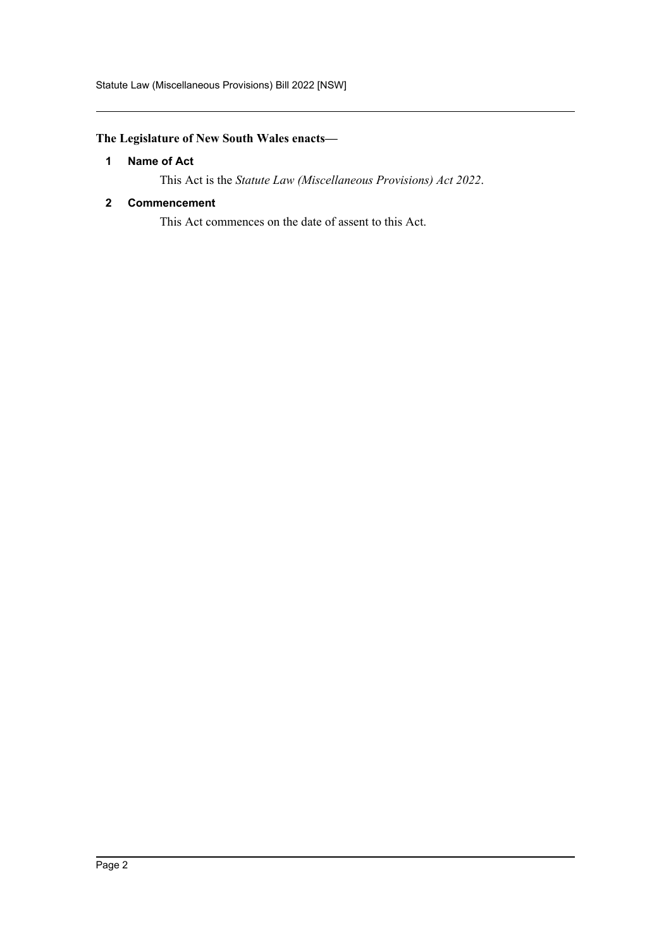## <span id="page-2-0"></span>**The Legislature of New South Wales enacts—**

#### **1 Name of Act**

This Act is the *Statute Law (Miscellaneous Provisions) Act 2022*.

#### <span id="page-2-1"></span>**2 Commencement**

This Act commences on the date of assent to this Act.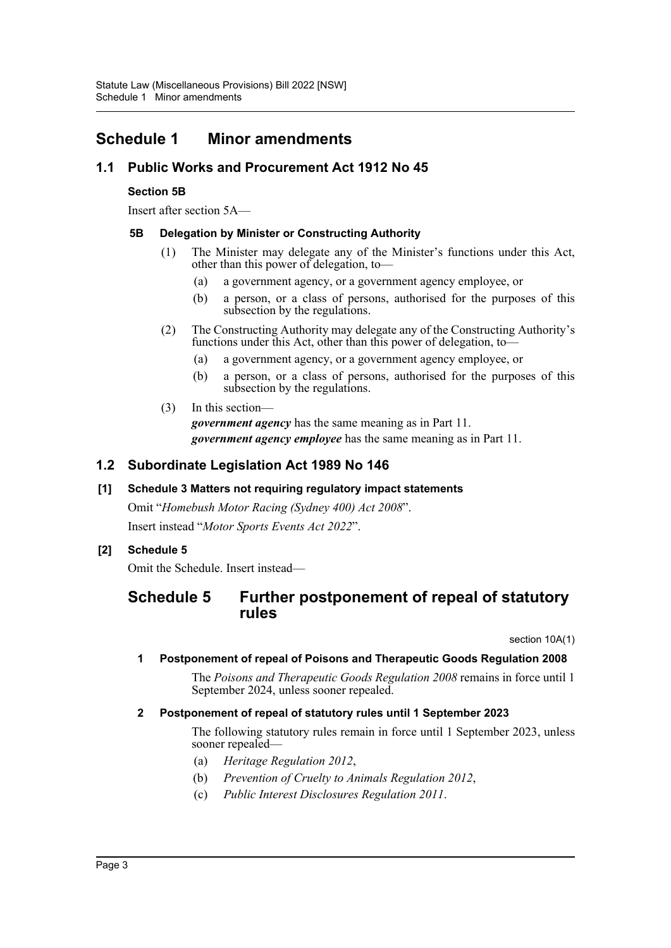# <span id="page-3-0"></span>**Schedule 1 Minor amendments**

## **1.1 Public Works and Procurement Act 1912 No 45**

#### **Section 5B**

Insert after section 5A—

#### **5B Delegation by Minister or Constructing Authority**

- (1) The Minister may delegate any of the Minister's functions under this Act, other than this power of delegation, to—
	- (a) a government agency, or a government agency employee, or
	- (b) a person, or a class of persons, authorised for the purposes of this subsection by the regulations.
- (2) The Constructing Authority may delegate any of the Constructing Authority's functions under this Act, other than this power of delegation, to—
	- (a) a government agency, or a government agency employee, or
	- (b) a person, or a class of persons, authorised for the purposes of this subsection by the regulations.
- (3) In this section *government agency* has the same meaning as in Part 11. *government agency employee* has the same meaning as in Part 11.

## **1.2 Subordinate Legislation Act 1989 No 146**

#### **[1] Schedule 3 Matters not requiring regulatory impact statements**

Omit "*Homebush Motor Racing (Sydney 400) Act 2008*". Insert instead "*Motor Sports Events Act 2022*".

## **[2] Schedule 5**

Omit the Schedule. Insert instead—

# **Schedule 5 Further postponement of repeal of statutory rules**

section 10A(1)

#### **1 Postponement of repeal of Poisons and Therapeutic Goods Regulation 2008**

The *Poisons and Therapeutic Goods Regulation 2008* remains in force until 1 September 2024, unless sooner repealed.

#### **2 Postponement of repeal of statutory rules until 1 September 2023**

The following statutory rules remain in force until 1 September 2023, unless sooner repealed—

- (a) *Heritage Regulation 2012*,
- (b) *Prevention of Cruelty to Animals Regulation 2012*,
- (c) *Public Interest Disclosures Regulation 2011*.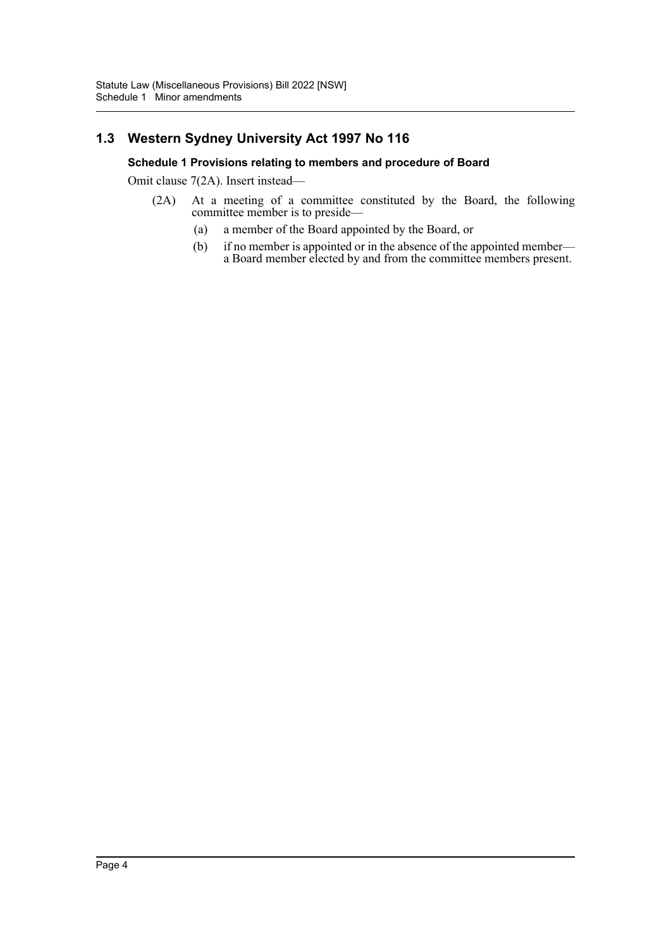# **1.3 Western Sydney University Act 1997 No 116**

#### **Schedule 1 Provisions relating to members and procedure of Board**

Omit clause 7(2A). Insert instead—

- (2A) At a meeting of a committee constituted by the Board, the following committee member is to preside—
	- (a) a member of the Board appointed by the Board, or
	- (b) if no member is appointed or in the absence of the appointed member a Board member elected by and from the committee members present.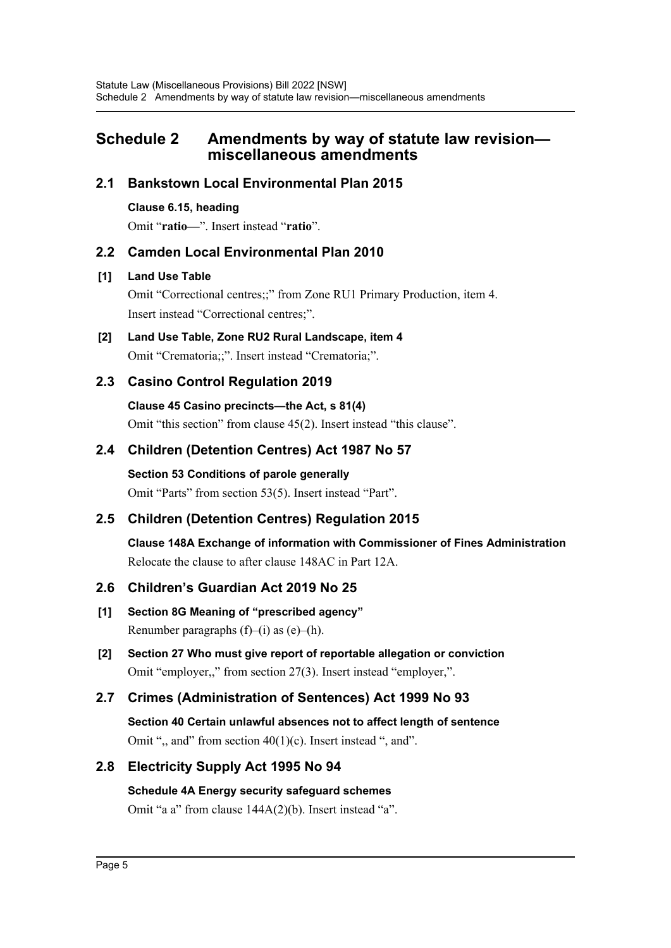# <span id="page-5-0"></span>**Schedule 2 Amendments by way of statute law revision miscellaneous amendments**

## **2.1 Bankstown Local Environmental Plan 2015**

#### **Clause 6.15, heading**

Omit "**ratio—**". Insert instead "**ratio**".

## **2.2 Camden Local Environmental Plan 2010**

#### **[1] Land Use Table**

Omit "Correctional centres;;" from Zone RU1 Primary Production, item 4. Insert instead "Correctional centres;".

**[2] Land Use Table, Zone RU2 Rural Landscape, item 4** Omit "Crematoria;;". Insert instead "Crematoria;".

# **2.3 Casino Control Regulation 2019**

#### **Clause 45 Casino precincts—the Act, s 81(4)**

Omit "this section" from clause 45(2). Insert instead "this clause".

# **2.4 Children (Detention Centres) Act 1987 No 57**

**Section 53 Conditions of parole generally** Omit "Parts" from section 53(5). Insert instead "Part".

# **2.5 Children (Detention Centres) Regulation 2015**

**Clause 148A Exchange of information with Commissioner of Fines Administration** Relocate the clause to after clause 148AC in Part 12A.

## **2.6 Children's Guardian Act 2019 No 25**

- **[1] Section 8G Meaning of "prescribed agency"** Renumber paragraphs  $(f)$ – $(i)$  as  $(e)$ – $(h)$ .
- **[2] Section 27 Who must give report of reportable allegation or conviction** Omit "employer,," from section 27(3). Insert instead "employer,".

# **2.7 Crimes (Administration of Sentences) Act 1999 No 93**

**Section 40 Certain unlawful absences not to affect length of sentence** Omit ", and" from section  $40(1)(c)$ . Insert instead ", and".

## **2.8 Electricity Supply Act 1995 No 94**

## **Schedule 4A Energy security safeguard schemes**

Omit "a a" from clause 144A(2)(b). Insert instead "a".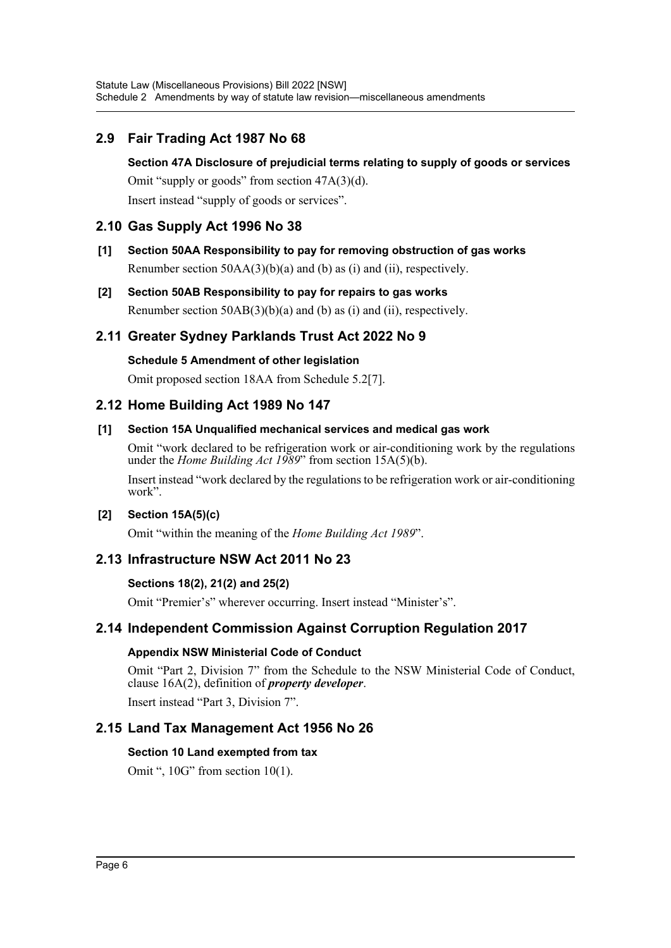# **2.9 Fair Trading Act 1987 No 68**

#### **Section 47A Disclosure of prejudicial terms relating to supply of goods or services**

Omit "supply or goods" from section 47A(3)(d).

Insert instead "supply of goods or services".

## **2.10 Gas Supply Act 1996 No 38**

- **[1] Section 50AA Responsibility to pay for removing obstruction of gas works** Renumber section  $50AA(3)(b)(a)$  and (b) as (i) and (ii), respectively.
- **[2] Section 50AB Responsibility to pay for repairs to gas works** Renumber section  $50AB(3)(b)(a)$  and (b) as (i) and (ii), respectively.

## **2.11 Greater Sydney Parklands Trust Act 2022 No 9**

#### **Schedule 5 Amendment of other legislation**

Omit proposed section 18AA from Schedule 5.2[7].

## **2.12 Home Building Act 1989 No 147**

#### **[1] Section 15A Unqualified mechanical services and medical gas work**

Omit "work declared to be refrigeration work or air-conditioning work by the regulations under the *Home Building Act 1989*" from section 15A(5)(b).

Insert instead "work declared by the regulations to be refrigeration work or air-conditioning work".

#### **[2] Section 15A(5)(c)**

Omit "within the meaning of the *Home Building Act 1989*".

# **2.13 Infrastructure NSW Act 2011 No 23**

#### **Sections 18(2), 21(2) and 25(2)**

Omit "Premier's" wherever occurring. Insert instead "Minister's".

## **2.14 Independent Commission Against Corruption Regulation 2017**

#### **Appendix NSW Ministerial Code of Conduct**

Omit "Part 2, Division 7" from the Schedule to the NSW Ministerial Code of Conduct, clause 16A(2), definition of *property developer*.

Insert instead "Part 3, Division 7".

## **2.15 Land Tax Management Act 1956 No 26**

#### **Section 10 Land exempted from tax**

Omit ", 10G" from section 10(1).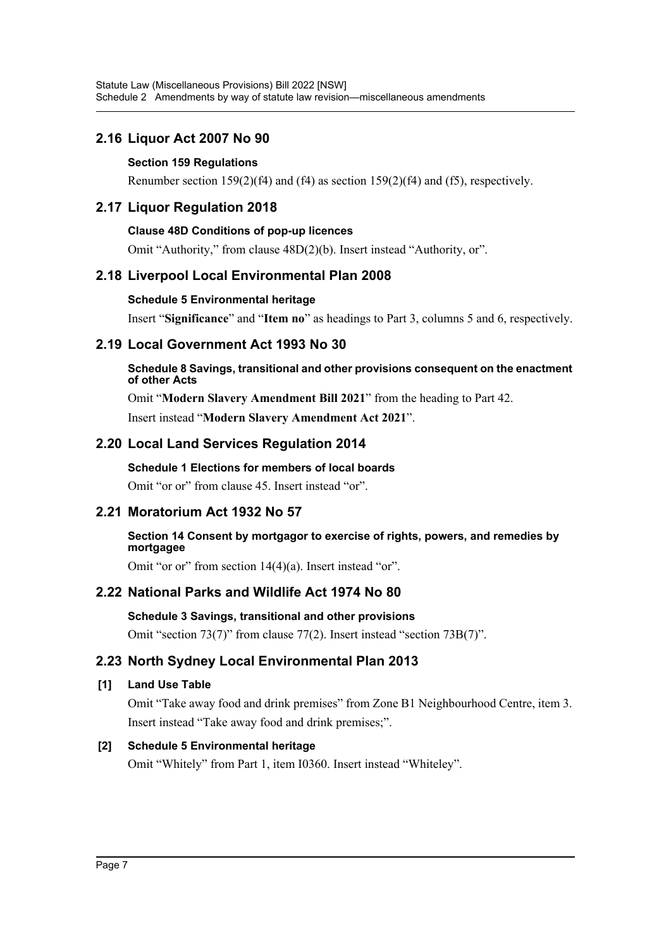# **2.16 Liquor Act 2007 No 90**

#### **Section 159 Regulations**

Renumber section 159(2)(f4) and (f4) as section 159(2)(f4) and (f5), respectively.

## **2.17 Liquor Regulation 2018**

#### **Clause 48D Conditions of pop-up licences**

Omit "Authority," from clause 48D(2)(b). Insert instead "Authority, or".

## **2.18 Liverpool Local Environmental Plan 2008**

#### **Schedule 5 Environmental heritage**

Insert "**Significance**" and "**Item no**" as headings to Part 3, columns 5 and 6, respectively.

## **2.19 Local Government Act 1993 No 30**

#### **Schedule 8 Savings, transitional and other provisions consequent on the enactment of other Acts**

Omit "**Modern Slavery Amendment Bill 2021**" from the heading to Part 42. Insert instead "**Modern Slavery Amendment Act 2021**".

# **2.20 Local Land Services Regulation 2014**

#### **Schedule 1 Elections for members of local boards**

Omit "or or" from clause 45. Insert instead "or".

# **2.21 Moratorium Act 1932 No 57**

#### **Section 14 Consent by mortgagor to exercise of rights, powers, and remedies by mortgagee**

Omit "or or" from section 14(4)(a). Insert instead "or".

# **2.22 National Parks and Wildlife Act 1974 No 80**

#### **Schedule 3 Savings, transitional and other provisions** Omit "section 73(7)" from clause 77(2). Insert instead "section 73B(7)".

# **2.23 North Sydney Local Environmental Plan 2013**

#### **[1] Land Use Table**

Omit "Take away food and drink premises" from Zone B1 Neighbourhood Centre, item 3. Insert instead "Take away food and drink premises;".

## **[2] Schedule 5 Environmental heritage**

Omit "Whitely" from Part 1, item I0360. Insert instead "Whiteley".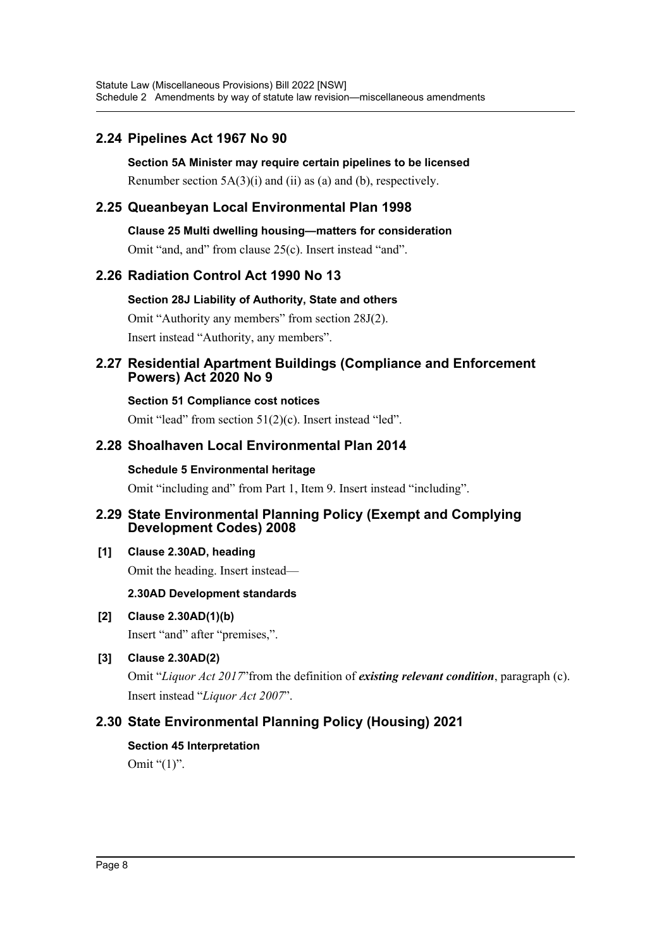# **2.24 Pipelines Act 1967 No 90**

**Section 5A Minister may require certain pipelines to be licensed** Renumber section  $5A(3)(i)$  and  $(ii)$  as (a) and (b), respectively.

## **2.25 Queanbeyan Local Environmental Plan 1998**

**Clause 25 Multi dwelling housing—matters for consideration**

Omit "and, and" from clause 25(c). Insert instead "and".

## **2.26 Radiation Control Act 1990 No 13**

**Section 28J Liability of Authority, State and others**

Omit "Authority any members" from section 28J(2). Insert instead "Authority, any members".

#### **2.27 Residential Apartment Buildings (Compliance and Enforcement Powers) Act 2020 No 9**

**Section 51 Compliance cost notices** Omit "lead" from section 51(2)(c). Insert instead "led".

## **2.28 Shoalhaven Local Environmental Plan 2014**

#### **Schedule 5 Environmental heritage**

Omit "including and" from Part 1, Item 9. Insert instead "including".

#### **2.29 State Environmental Planning Policy (Exempt and Complying Development Codes) 2008**

#### **[1] Clause 2.30AD, heading**

Omit the heading. Insert instead—

#### **2.30AD Development standards**

**[2] Clause 2.30AD(1)(b)**

Insert "and" after "premises,".

## **[3] Clause 2.30AD(2)**

Omit "*Liquor Act 2017*"from the definition of *existing relevant condition*, paragraph (c). Insert instead "*Liquor Act 2007*".

# **2.30 State Environmental Planning Policy (Housing) 2021**

**Section 45 Interpretation**

Omit "(1)".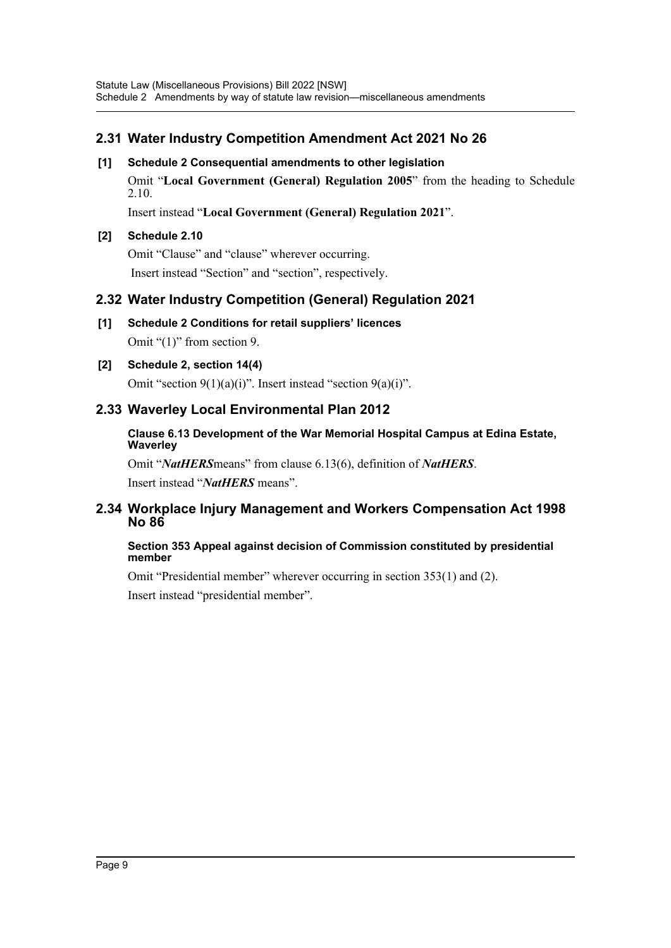# **2.31 Water Industry Competition Amendment Act 2021 No 26**

#### **[1] Schedule 2 Consequential amendments to other legislation**

Omit "**Local Government (General) Regulation 2005**" from the heading to Schedule 2.10.

Insert instead "**Local Government (General) Regulation 2021**".

#### **[2] Schedule 2.10**

Omit "Clause" and "clause" wherever occurring. Insert instead "Section" and "section", respectively.

## **2.32 Water Industry Competition (General) Regulation 2021**

**[1] Schedule 2 Conditions for retail suppliers' licences** Omit "(1)" from section 9.

#### **[2] Schedule 2, section 14(4)**

Omit "section 9(1)(a)(i)". Insert instead "section 9(a)(i)".

## **2.33 Waverley Local Environmental Plan 2012**

#### **Clause 6.13 Development of the War Memorial Hospital Campus at Edina Estate, Waverley**

Omit "*NatHERS*means" from clause 6.13(6), definition of *NatHERS*.

Insert instead "*NatHERS* means".

## **2.34 Workplace Injury Management and Workers Compensation Act 1998 No 86**

#### **Section 353 Appeal against decision of Commission constituted by presidential member**

Omit "Presidential member" wherever occurring in section 353(1) and (2).

Insert instead "presidential member".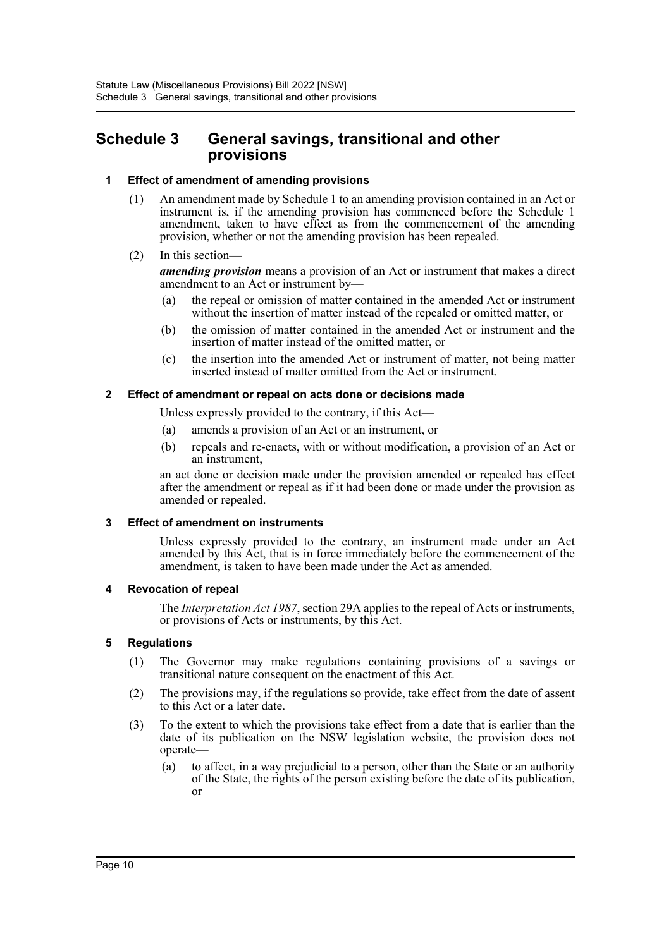# <span id="page-10-0"></span>**Schedule 3 General savings, transitional and other provisions**

#### **1 Effect of amendment of amending provisions**

- (1) An amendment made by Schedule 1 to an amending provision contained in an Act or instrument is, if the amending provision has commenced before the Schedule 1 amendment, taken to have effect as from the commencement of the amending provision, whether or not the amending provision has been repealed.
- (2) In this section—

*amending provision* means a provision of an Act or instrument that makes a direct amendment to an Act or instrument by—

- (a) the repeal or omission of matter contained in the amended Act or instrument without the insertion of matter instead of the repealed or omitted matter, or
- (b) the omission of matter contained in the amended Act or instrument and the insertion of matter instead of the omitted matter, or
- (c) the insertion into the amended Act or instrument of matter, not being matter inserted instead of matter omitted from the Act or instrument.

#### **2 Effect of amendment or repeal on acts done or decisions made**

Unless expressly provided to the contrary, if this Act—

- (a) amends a provision of an Act or an instrument, or
- (b) repeals and re-enacts, with or without modification, a provision of an Act or an instrument,

an act done or decision made under the provision amended or repealed has effect after the amendment or repeal as if it had been done or made under the provision as amended or repealed.

#### **3 Effect of amendment on instruments**

Unless expressly provided to the contrary, an instrument made under an Act amended by this Act, that is in force immediately before the commencement of the amendment, is taken to have been made under the Act as amended.

#### **4 Revocation of repeal**

The *Interpretation Act 1987*, section 29A applies to the repeal of Acts or instruments, or provisions of Acts or instruments, by this Act.

#### **5 Regulations**

- (1) The Governor may make regulations containing provisions of a savings or transitional nature consequent on the enactment of this Act.
- (2) The provisions may, if the regulations so provide, take effect from the date of assent to this Act or a later date.
- (3) To the extent to which the provisions take effect from a date that is earlier than the date of its publication on the NSW legislation website, the provision does not operate—
	- (a) to affect, in a way prejudicial to a person, other than the State or an authority of the State, the rights of the person existing before the date of its publication, or